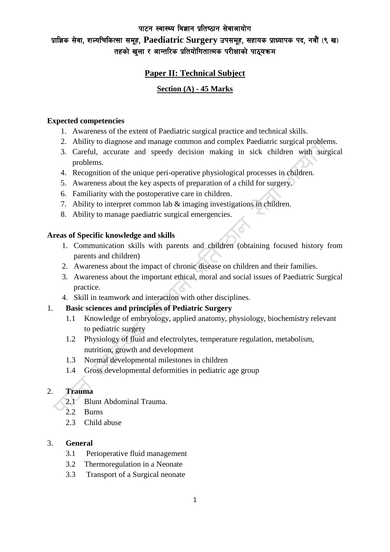### पाटन स्वास्थ्य विज्ञान प्रतिष्ठान सेवाआयोग

# प्राज्ञिक सेवा, शल्यचिकित्सा समह, Paediatric Surgery उपसमह, सहायक प्राध्यापक पद, नवौं (९ ख) तहको खुला र आन्तरिक प्रतियोगितात्मक परीक्षाको पाठ्यक्रम

# **Paper II: Technical Subject**

## **Section (A) - 45 Marks**

### **Expected competencies**

- 1. Awareness of the extent of Paediatric surgical practice and technical skills.
- 2. Ability to diagnose and manage common and complex Paediatric surgical problems.
- 3. Careful, accurate and speedy decision making in sick children with surgical problems.
- 4. Recognition of the unique peri-operative physiological processes in children.
- 5. Awareness about the key aspects of preparation of a child for surgery.
- 6. Familiarity with the postoperative care in children.
- 7. Ability to interpret common lab & imaging investigations in children.
- 8. Ability to manage paediatric surgical emergencies.

## **Areas of Specific knowledge and skills**

- 1. Communication skills with parents and children (obtaining focused history from parents and children)
- 2. Awareness about the impact of chronic disease on children and their families.
- 3. Awareness about the important ethical, moral and social issues of Paediatric Surgical practice.
- 4. Skill in teamwork and interaction with other disciplines.

# 1. **Basic sciences and principles of Pediatric Surgery**

- 1.1 Knowledge of embryology, applied anatomy, physiology, biochemistry relevant to pediatric surgery
- 1.2 Physiology of fluid and electrolytes, temperature regulation, metabolism, nutrition, growth and development
- 1.3 Normal developmental milestones in children
- 1.4 Gross developmental deformities in pediatric age group

# 2. **Trauma**

- 2.1 Blunt Abdominal Trauma.
- 2.2 Burns
- 2.3 Child abuse

# 3. **General**

- 3.1 Perioperative fluid management
- 3.2 Thermoregulation in a Neonate
- 3.3 Transport of a Surgical neonate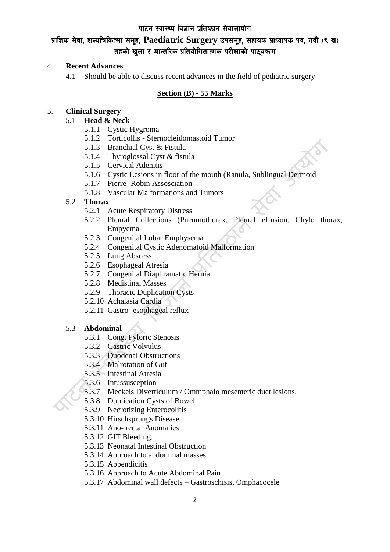## पाटन स्वास्थ्य विज्ञान प्रतिष्ठान सेवाआयोग

# प्राज्ञिक सेवा. शल्यचिकित्सा समूह, Paediatric Surgery उपसमूह, सहायक प्राध्यापक पद, नवौं (९ ख) तहको खुला र आन्तरिक प्रतियोगितात्मक परीक्षाको पाठ्यक्रम

#### 4. **Recent Advances**

4.1 Should be able to discuss recent advances in the field of pediatric surgery

## **Section (B) - 55 Marks**

## 5. **Clinical Surgery**

### 5.1 **Head & Neck**

- 5.1.1 Cystic Hygroma
- 5.1.2 Torticollis Sternocleidomastoid Tumor
- 5.1.3 Branchial Cyst & Fistula
- 5.1.4 Thyroglossal Cyst & fistula
- 5.1.5 Cervical Adenitis
- 5.1.6 Cystic Lesions in floor of the mouth (Ranula, Sublingual Dermoid
- 5.1.7 Pierre- Robin Assosciation
- 5.1.8 Vascular Malformations and Tumors

## 5.2 **Thorax**

- 5.2.1 Acute Respiratory Distress
- 5.2.2 Pleural Collections (Pneumothorax, Pleural effusion, Chylo thorax, Empyema
- 5.2.3 Congenital Lobar Emphysema
- 5.2.4 Congenital Cystic Adenomatoid Malformation
- 5.2.5 Lung Abscess
- 5.2.6 Esophageal Atresia
- 5.2.7 Congenital Diaphramatic Hernia
- 5.2.8 Medistinal Masses
- 5.2.9 Thoracic Duplication Cysts
- 5.2.10 Achalasia Cardia
- 5.2.11 Gastro- esophageal reflux

# 5.3 **Abdominal**

- 5.3.1 Cong. Pyloric Stenosis
- 5.3.2 Gastric Volvulus
- 5.3.3 Duodenal Obstructions
- 5.3.4 Malrotation of Gut
- 5.3.5 Intestinal Atresia
- 5.3.6 Intussusception
- 5.3.7 Meckels Diverticulum / Ommphalo mesenteric duct lesions.
- 5.3.8 Duplication Cysts of Bowel
- 5.3.9 Necrotizing Enterocolitis
- 5.3.10 Hirschsprungs Disease
- 5.3.11 Ano- rectal Anomalies
- 5.3.12 GIT Bleeding.
- 5.3.13 Neonatal Intestinal Obstruction
- 5.3.14 Approach to abdominal masses
- 5.3.15 Appendicitis
- 5.3.16 Approach to Acute Abdominal Pain
- 5.3.17 Abdominal wall defects Gastroschisis, Omphacocele